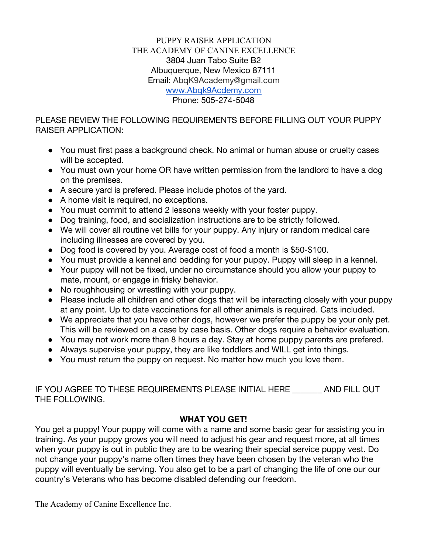#### PUPPY RAISER APPLICATION THE ACADEMY OF CANINE EXCELLENCE 3804 Juan Tabo Suite B2 Albuquerque, New Mexico 87111 Email: AbqK9Academy@gmail.com [www.Abqk9Acdemy.com](http://www.abqk9acdemy.com/) Phone: 505-274-5048

PLEASE REVIEW THE FOLLOWING REQUIREMENTS BEFORE FILLING OUT YOUR PUPPY RAISER APPLICATION:

- You must first pass a background check. No animal or human abuse or cruelty cases will be accepted.
- You must own your home OR have written permission from the landlord to have a dog on the premises.
- A secure yard is prefered. Please include photos of the yard.
- A home visit is required, no exceptions.
- You must commit to attend 2 lessons weekly with your foster puppy.
- Dog training, food, and socialization instructions are to be strictly followed.
- We will cover all routine vet bills for your puppy. Any injury or random medical care including illnesses are covered by you.
- Dog food is covered by you. Average cost of food a month is \$50-\$100.
- You must provide a kennel and bedding for your puppy. Puppy will sleep in a kennel.
- Your puppy will not be fixed, under no circumstance should you allow your puppy to mate, mount, or engage in frisky behavior.
- No roughhousing or wrestling with your puppy.
- Please include all children and other dogs that will be interacting closely with your puppy at any point. Up to date vaccinations for all other animals is required. Cats included.
- We appreciate that you have other dogs, however we prefer the puppy be your only pet. This will be reviewed on a case by case basis. Other dogs require a behavior evaluation.
- You may not work more than 8 hours a day. Stay at home puppy parents are prefered.
- Always supervise your puppy, they are like toddlers and WILL get into things.
- You must return the puppy on request. No matter how much you love them.

| IF YOU AGREE TO THESE REQUIREMENTS PLEASE INITIAL HERE | AND FILL OUT |
|--------------------------------------------------------|--------------|
| THE FOLLOWING.                                         |              |

## **WHAT YOU GET!**

You get a puppy! Your puppy will come with a name and some basic gear for assisting you in training. As your puppy grows you will need to adjust his gear and request more, at all times when your puppy is out in public they are to be wearing their special service puppy vest. Do not change your puppy's name often times they have been chosen by the veteran who the puppy will eventually be serving. You also get to be a part of changing the life of one our our country's Veterans who has become disabled defending our freedom.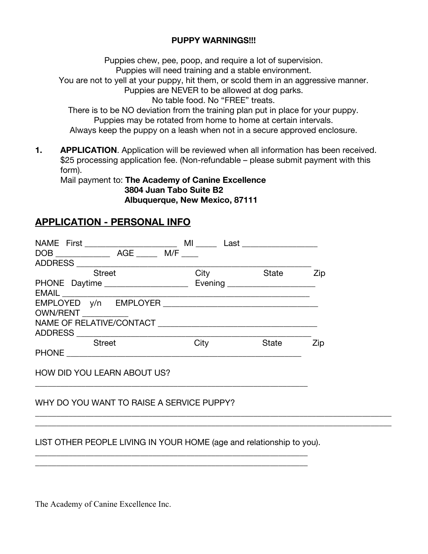### **PUPPY WARNINGS!!!**

Puppies chew, pee, poop, and require a lot of supervision. Puppies will need training and a stable environment. You are not to yell at your puppy, hit them, or scold them in an aggressive manner. Puppies are NEVER to be allowed at dog parks. No table food. No "FREE" treats. There is to be NO deviation from the training plan put in place for your puppy. Puppies may be rotated from home to home at certain intervals. Always keep the puppy on a leash when not in a secure approved enclosure.

**1. APPLICATION**. Application will be reviewed when all information has been received. \$25 processing application fee. (Non-refundable – please submit payment with this form).

Mail payment to: **The Academy of Canine Excellence 3804 Juan Tabo Suite B2 Albuquerque, New Mexico, 87111**

# **APPLICATION - PERSONAL INFO**

| <b>Street</b>                                                                                                                                                                                                                  | City                           | State | Zip |
|--------------------------------------------------------------------------------------------------------------------------------------------------------------------------------------------------------------------------------|--------------------------------|-------|-----|
| PHONE Daytime                                                                                                                                                                                                                  | Evening ______________________ |       |     |
|                                                                                                                                                                                                                                |                                |       |     |
| EMPLOYED y/n EMPLOYER New York and the state of the state of the state of the state of the state of the state of the state of the state of the state of the state of the state of the state of the state of the state of the s |                                |       |     |
| OWN/RENT ___________                                                                                                                                                                                                           |                                |       |     |
|                                                                                                                                                                                                                                |                                |       |     |
|                                                                                                                                                                                                                                |                                |       |     |
| <b>Street</b>                                                                                                                                                                                                                  | City                           | State | Zip |
|                                                                                                                                                                                                                                |                                |       |     |
|                                                                                                                                                                                                                                |                                |       |     |
| <b>HOW DID YOU LEARN ABOUT US?</b>                                                                                                                                                                                             |                                |       |     |

## WHY DO YOU WANT TO RAISE A SERVICE PUPPY?

## LIST OTHER PEOPLE LIVING IN YOUR HOME (age and relationship to you).

\_\_\_\_\_\_\_\_\_\_\_\_\_\_\_\_\_\_\_\_\_\_\_\_\_\_\_\_\_\_\_\_\_\_\_\_\_\_\_\_\_\_\_\_\_\_\_\_\_\_\_\_\_\_\_\_\_\_\_\_\_\_\_\_\_ \_\_\_\_\_\_\_\_\_\_\_\_\_\_\_\_\_\_\_\_\_\_\_\_\_\_\_\_\_\_\_\_\_\_\_\_\_\_\_\_\_\_\_\_\_\_\_\_\_\_\_\_\_\_\_\_\_\_\_\_\_\_\_\_\_

\_\_\_\_\_\_\_\_\_\_\_\_\_\_\_\_\_\_\_\_\_\_\_\_\_\_\_\_\_\_\_\_\_\_\_\_\_\_\_\_\_\_\_\_\_\_\_\_\_\_\_\_\_\_\_\_\_\_\_\_\_\_\_\_\_\_\_\_\_\_\_\_\_\_\_\_\_\_\_\_\_\_\_\_\_ \_\_\_\_\_\_\_\_\_\_\_\_\_\_\_\_\_\_\_\_\_\_\_\_\_\_\_\_\_\_\_\_\_\_\_\_\_\_\_\_\_\_\_\_\_\_\_\_\_\_\_\_\_\_\_\_\_\_\_\_\_\_\_\_\_\_\_\_\_\_\_\_\_\_\_\_\_\_\_\_\_\_\_\_\_

\_\_\_\_\_\_\_\_\_\_\_\_\_\_\_\_\_\_\_\_\_\_\_\_\_\_\_\_\_\_\_\_\_\_\_\_\_\_\_\_\_\_\_\_\_\_\_\_\_\_\_\_\_\_\_\_\_\_\_\_\_\_\_\_\_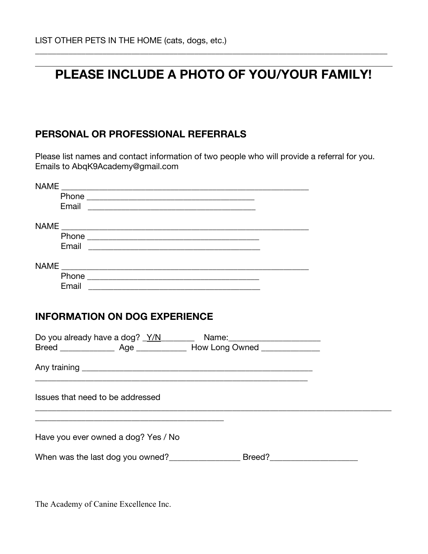# **PLEASE INCLUDE A PHOTO OF YOU/YOUR FAMILY!**

\_\_\_\_\_\_\_\_\_\_\_\_\_\_\_\_\_\_\_\_\_\_\_\_\_\_\_\_\_\_\_\_\_\_\_\_\_\_\_\_\_\_\_\_\_\_\_\_\_\_\_\_\_\_\_\_\_\_\_\_\_\_\_\_\_\_\_\_\_\_\_\_\_\_\_\_\_\_\_\_\_\_\_\_

# **PERSONAL OR PROFESSIONAL REFERRALS**

Please list names and contact information of two people who will provide a referral for you. Emails to AbqK9Academy@gmail.com

| <b>NAME</b><br><u> 1980 - Andrea Barbara, amerikana amerikana amerikana amerikana amerikana amerikana amerikana amerikana amerika</u>                                                                                          |  |
|--------------------------------------------------------------------------------------------------------------------------------------------------------------------------------------------------------------------------------|--|
|                                                                                                                                                                                                                                |  |
|                                                                                                                                                                                                                                |  |
|                                                                                                                                                                                                                                |  |
|                                                                                                                                                                                                                                |  |
|                                                                                                                                                                                                                                |  |
|                                                                                                                                                                                                                                |  |
|                                                                                                                                                                                                                                |  |
| Phone experience and the state of the state of the state of the state of the state of the state of the state of the state of the state of the state of the state of the state of the state of the state of the state of the st |  |
| Email experience and the contract of the contract of the contract of the contract of the contract of the contract of the contract of the contract of the contract of the contract of the contract of the contract of the contr |  |
|                                                                                                                                                                                                                                |  |
| <b>INFORMATION ON DOG EXPERIENCE</b>                                                                                                                                                                                           |  |
|                                                                                                                                                                                                                                |  |
| Do you already have a dog? Y/N Name: Name:                                                                                                                                                                                     |  |
|                                                                                                                                                                                                                                |  |
|                                                                                                                                                                                                                                |  |
|                                                                                                                                                                                                                                |  |
|                                                                                                                                                                                                                                |  |
| Issues that need to be addressed                                                                                                                                                                                               |  |
|                                                                                                                                                                                                                                |  |
|                                                                                                                                                                                                                                |  |
|                                                                                                                                                                                                                                |  |
| Have you ever owned a dog? Yes / No                                                                                                                                                                                            |  |
|                                                                                                                                                                                                                                |  |
|                                                                                                                                                                                                                                |  |
|                                                                                                                                                                                                                                |  |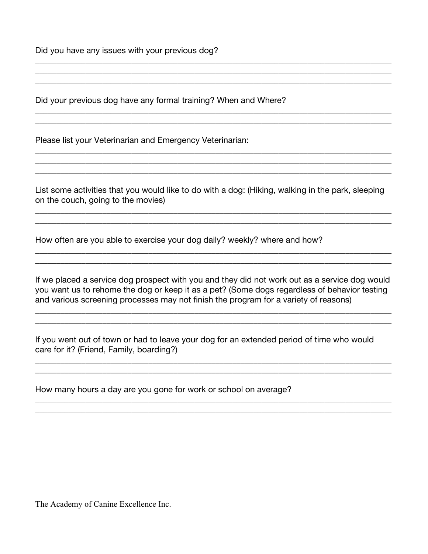Did you have any issues with your previous dog?

Did your previous dog have any formal training? When and Where?

Please list your Veterinarian and Emergency Veterinarian:

List some activities that you would like to do with a dog: (Hiking, walking in the park, sleeping on the couch, going to the movies)

\_\_\_\_\_\_\_\_\_\_\_\_\_\_\_\_\_\_\_\_\_\_\_\_\_\_\_\_\_\_\_\_\_\_\_\_\_\_\_\_\_\_\_\_\_\_\_\_\_\_\_\_\_\_\_\_\_\_\_\_\_\_\_\_\_\_\_\_\_\_\_\_\_\_\_\_\_\_\_\_\_\_\_\_\_ \_\_\_\_\_\_\_\_\_\_\_\_\_\_\_\_\_\_\_\_\_\_\_\_\_\_\_\_\_\_\_\_\_\_\_\_\_\_\_\_\_\_\_\_\_\_\_\_\_\_\_\_\_\_\_\_\_\_\_\_\_\_\_\_\_\_\_\_\_\_\_\_\_\_\_\_\_\_\_\_\_\_\_\_\_

\_\_\_\_\_\_\_\_\_\_\_\_\_\_\_\_\_\_\_\_\_\_\_\_\_\_\_\_\_\_\_\_\_\_\_\_\_\_\_\_\_\_\_\_\_\_\_\_\_\_\_\_\_\_\_\_\_\_\_\_\_\_\_\_\_\_\_\_\_\_\_\_\_\_\_\_\_\_\_\_\_\_\_\_\_ \_\_\_\_\_\_\_\_\_\_\_\_\_\_\_\_\_\_\_\_\_\_\_\_\_\_\_\_\_\_\_\_\_\_\_\_\_\_\_\_\_\_\_\_\_\_\_\_\_\_\_\_\_\_\_\_\_\_\_\_\_\_\_\_\_\_\_\_\_\_\_\_\_\_\_\_\_\_\_\_\_\_\_\_\_

\_\_\_\_\_\_\_\_\_\_\_\_\_\_\_\_\_\_\_\_\_\_\_\_\_\_\_\_\_\_\_\_\_\_\_\_\_\_\_\_\_\_\_\_\_\_\_\_\_\_\_\_\_\_\_\_\_\_\_\_\_\_\_\_\_\_\_\_\_\_\_\_\_\_\_\_\_\_\_\_\_\_\_\_\_ \_\_\_\_\_\_\_\_\_\_\_\_\_\_\_\_\_\_\_\_\_\_\_\_\_\_\_\_\_\_\_\_\_\_\_\_\_\_\_\_\_\_\_\_\_\_\_\_\_\_\_\_\_\_\_\_\_\_\_\_\_\_\_\_\_\_\_\_\_\_\_\_\_\_\_\_\_\_\_\_\_\_\_\_\_ \_\_\_\_\_\_\_\_\_\_\_\_\_\_\_\_\_\_\_\_\_\_\_\_\_\_\_\_\_\_\_\_\_\_\_\_\_\_\_\_\_\_\_\_\_\_\_\_\_\_\_\_\_\_\_\_\_\_\_\_\_\_\_\_\_\_\_\_\_\_\_\_\_\_\_\_\_\_\_\_\_\_\_\_\_

\_\_\_\_\_\_\_\_\_\_\_\_\_\_\_\_\_\_\_\_\_\_\_\_\_\_\_\_\_\_\_\_\_\_\_\_\_\_\_\_\_\_\_\_\_\_\_\_\_\_\_\_\_\_\_\_\_\_\_\_\_\_\_\_\_\_\_\_\_\_\_\_\_\_\_\_\_\_\_\_\_\_\_\_\_ \_\_\_\_\_\_\_\_\_\_\_\_\_\_\_\_\_\_\_\_\_\_\_\_\_\_\_\_\_\_\_\_\_\_\_\_\_\_\_\_\_\_\_\_\_\_\_\_\_\_\_\_\_\_\_\_\_\_\_\_\_\_\_\_\_\_\_\_\_\_\_\_\_\_\_\_\_\_\_\_\_\_\_\_\_

\_\_\_\_\_\_\_\_\_\_\_\_\_\_\_\_\_\_\_\_\_\_\_\_\_\_\_\_\_\_\_\_\_\_\_\_\_\_\_\_\_\_\_\_\_\_\_\_\_\_\_\_\_\_\_\_\_\_\_\_\_\_\_\_\_\_\_\_\_\_\_\_\_\_\_\_\_\_\_\_\_\_\_\_\_ \_\_\_\_\_\_\_\_\_\_\_\_\_\_\_\_\_\_\_\_\_\_\_\_\_\_\_\_\_\_\_\_\_\_\_\_\_\_\_\_\_\_\_\_\_\_\_\_\_\_\_\_\_\_\_\_\_\_\_\_\_\_\_\_\_\_\_\_\_\_\_\_\_\_\_\_\_\_\_\_\_\_\_\_\_ \_\_\_\_\_\_\_\_\_\_\_\_\_\_\_\_\_\_\_\_\_\_\_\_\_\_\_\_\_\_\_\_\_\_\_\_\_\_\_\_\_\_\_\_\_\_\_\_\_\_\_\_\_\_\_\_\_\_\_\_\_\_\_\_\_\_\_\_\_\_\_\_\_\_\_\_\_\_\_\_\_\_\_\_\_

How often are you able to exercise your dog daily? weekly? where and how?

If we placed a service dog prospect with you and they did not work out as a service dog would you want us to rehome the dog or keep it as a pet? (Some dogs regardless of behavior testing and various screening processes may not finish the program for a variety of reasons)

\_\_\_\_\_\_\_\_\_\_\_\_\_\_\_\_\_\_\_\_\_\_\_\_\_\_\_\_\_\_\_\_\_\_\_\_\_\_\_\_\_\_\_\_\_\_\_\_\_\_\_\_\_\_\_\_\_\_\_\_\_\_\_\_\_\_\_\_\_\_\_\_\_\_\_\_\_\_\_\_\_\_\_\_\_ \_\_\_\_\_\_\_\_\_\_\_\_\_\_\_\_\_\_\_\_\_\_\_\_\_\_\_\_\_\_\_\_\_\_\_\_\_\_\_\_\_\_\_\_\_\_\_\_\_\_\_\_\_\_\_\_\_\_\_\_\_\_\_\_\_\_\_\_\_\_\_\_\_\_\_\_\_\_\_\_\_\_\_\_\_

\_\_\_\_\_\_\_\_\_\_\_\_\_\_\_\_\_\_\_\_\_\_\_\_\_\_\_\_\_\_\_\_\_\_\_\_\_\_\_\_\_\_\_\_\_\_\_\_\_\_\_\_\_\_\_\_\_\_\_\_\_\_\_\_\_\_\_\_\_\_\_\_\_\_\_\_\_\_\_\_\_\_\_\_\_ \_\_\_\_\_\_\_\_\_\_\_\_\_\_\_\_\_\_\_\_\_\_\_\_\_\_\_\_\_\_\_\_\_\_\_\_\_\_\_\_\_\_\_\_\_\_\_\_\_\_\_\_\_\_\_\_\_\_\_\_\_\_\_\_\_\_\_\_\_\_\_\_\_\_\_\_\_\_\_\_\_\_\_\_\_

\_\_\_\_\_\_\_\_\_\_\_\_\_\_\_\_\_\_\_\_\_\_\_\_\_\_\_\_\_\_\_\_\_\_\_\_\_\_\_\_\_\_\_\_\_\_\_\_\_\_\_\_\_\_\_\_\_\_\_\_\_\_\_\_\_\_\_\_\_\_\_\_\_\_\_\_\_\_\_\_\_\_\_\_\_ \_\_\_\_\_\_\_\_\_\_\_\_\_\_\_\_\_\_\_\_\_\_\_\_\_\_\_\_\_\_\_\_\_\_\_\_\_\_\_\_\_\_\_\_\_\_\_\_\_\_\_\_\_\_\_\_\_\_\_\_\_\_\_\_\_\_\_\_\_\_\_\_\_\_\_\_\_\_\_\_\_\_\_\_\_

If you went out of town or had to leave your dog for an extended period of time who would care for it? (Friend, Family, boarding?)

How many hours a day are you gone for work or school on average?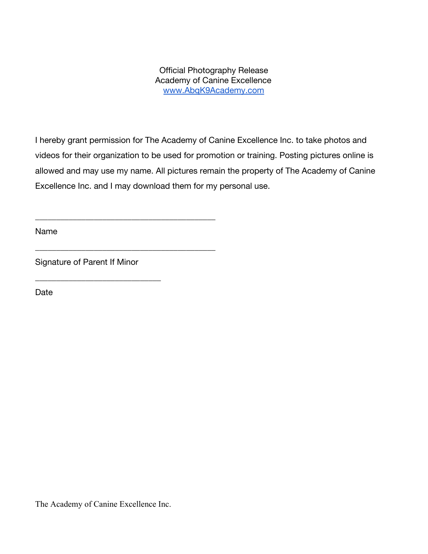Official Photography Release Academy of Canine Excellence [www.AbqK9Academy.com](http://www.abqk9academy.com/)

I hereby grant permission for The Academy of Canine Excellence Inc. to take photos and videos for their organization to be used for promotion or training. Posting pictures online is allowed and may use my name. All pictures remain the property of The Academy of Canine Excellence Inc. and I may download them for my personal use.

Name

Signature of Parent If Minor

\_\_\_\_\_\_\_\_\_\_\_\_\_\_\_\_\_\_\_\_\_\_\_\_\_\_\_\_\_\_

\_\_\_\_\_\_\_\_\_\_\_\_\_\_\_\_\_\_\_\_\_\_\_\_\_\_\_\_\_\_\_\_\_\_\_\_\_\_\_\_\_\_\_

\_\_\_\_\_\_\_\_\_\_\_\_\_\_\_\_\_\_\_\_\_\_\_\_\_\_\_\_\_\_\_\_\_\_\_\_\_\_\_\_\_\_\_

Date